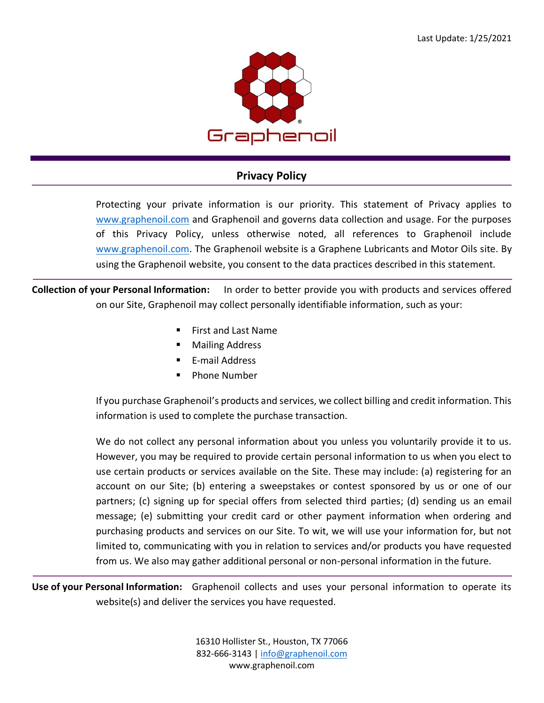

## **Privacy Policy**

Protecting your private information is our priority. This statement of Privacy applies to [www.graphenoil.com](http://www.graphenoil.com/) and Graphenoil and governs data collection and usage. For the purposes of this Privacy Policy, unless otherwise noted, all references to Graphenoil include [www.graphenoil.com.](http://www.graphenoil.com/) The Graphenoil website is a Graphene Lubricants and Motor Oils site. By using the Graphenoil website, you consent to the data practices described in this statement.

**Collection of your Personal Information:** In order to better provide you with products and services offered on our Site, Graphenoil may collect personally identifiable information, such as your:

- **First and Last Name**
- **Mailing Address**
- E-mail Address
- Phone Number

If you purchase Graphenoil's products and services, we collect billing and credit information. This information is used to complete the purchase transaction.

We do not collect any personal information about you unless you voluntarily provide it to us. However, you may be required to provide certain personal information to us when you elect to use certain products or services available on the Site. These may include: (a) registering for an account on our Site; (b) entering a sweepstakes or contest sponsored by us or one of our partners; (c) signing up for special offers from selected third parties; (d) sending us an email message; (e) submitting your credit card or other payment information when ordering and purchasing products and services on our Site. To wit, we will use your information for, but not limited to, communicating with you in relation to services and/or products you have requested from us. We also may gather additional personal or non-personal information in the future.

**Use of your Personal Information:** Graphenoil collects and uses your personal information to operate its website(s) and deliver the services you have requested.

> 16310 Hollister St., Houston, TX 77066 832-666-3143 [| info@graphenoil.com](mailto:info@graphenoil.com) www.graphenoil.com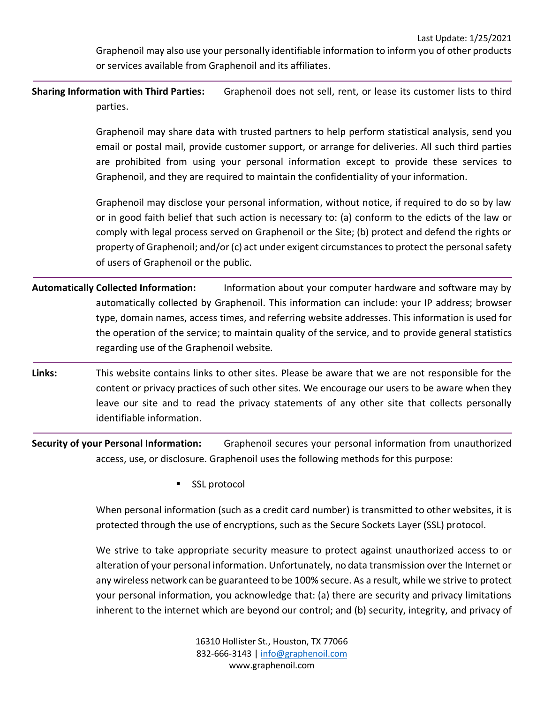**Sharing Information with Third Parties:** Graphenoil does not sell, rent, or lease its customer lists to third parties.

> Graphenoil may share data with trusted partners to help perform statistical analysis, send you email or postal mail, provide customer support, or arrange for deliveries. All such third parties are prohibited from using your personal information except to provide these services to Graphenoil, and they are required to maintain the confidentiality of your information.

> Graphenoil may disclose your personal information, without notice, if required to do so by law or in good faith belief that such action is necessary to: (a) conform to the edicts of the law or comply with legal process served on Graphenoil or the Site; (b) protect and defend the rights or property of Graphenoil; and/or (c) act under exigent circumstances to protect the personal safety of users of Graphenoil or the public.

- **Automatically Collected Information:** Information about your computer hardware and software may by automatically collected by Graphenoil. This information can include: your IP address; browser type, domain names, access times, and referring website addresses. This information is used for the operation of the service; to maintain quality of the service, and to provide general statistics regarding use of the Graphenoil website.
- **Links:** This website contains links to other sites. Please be aware that we are not responsible for the content or privacy practices of such other sites. We encourage our users to be aware when they leave our site and to read the privacy statements of any other site that collects personally identifiable information.

**Security of your Personal Information:** Graphenoil secures your personal information from unauthorized access, use, or disclosure. Graphenoil uses the following methods for this purpose:

SSL protocol

When personal information (such as a credit card number) is transmitted to other websites, it is protected through the use of encryptions, such as the Secure Sockets Layer (SSL) protocol.

We strive to take appropriate security measure to protect against unauthorized access to or alteration of your personal information. Unfortunately, no data transmission over the Internet or any wireless network can be guaranteed to be 100% secure. As a result, while we strive to protect your personal information, you acknowledge that: (a) there are security and privacy limitations inherent to the internet which are beyond our control; and (b) security, integrity, and privacy of

> 16310 Hollister St., Houston, TX 77066 832-666-3143 [| info@graphenoil.com](mailto:info@graphenoil.com) www.graphenoil.com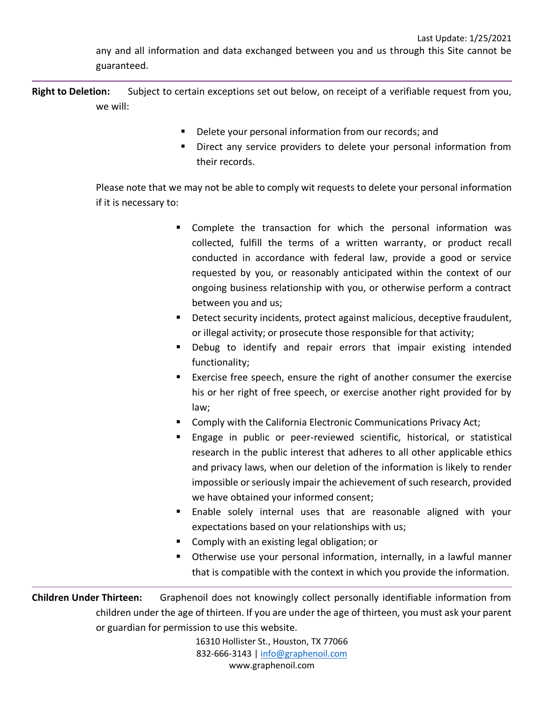any and all information and data exchanged between you and us through this Site cannot be guaranteed.

**Right to Deletion:** Subject to certain exceptions set out below, on receipt of a verifiable request from you, we will:

- **E** Delete your personal information from our records; and
- Direct any service providers to delete your personal information from their records.

Please note that we may not be able to comply wit requests to delete your personal information if it is necessary to:

- Complete the transaction for which the personal information was collected, fulfill the terms of a written warranty, or product recall conducted in accordance with federal law, provide a good or service requested by you, or reasonably anticipated within the context of our ongoing business relationship with you, or otherwise perform a contract between you and us;
- **•** Detect security incidents, protect against malicious, deceptive fraudulent, or illegal activity; or prosecute those responsible for that activity;
- Debug to identify and repair errors that impair existing intended functionality;
- Exercise free speech, ensure the right of another consumer the exercise his or her right of free speech, or exercise another right provided for by law;
- Comply with the California Electronic Communications Privacy Act;
- **Engage in public or peer-reviewed scientific, historical, or statistical** research in the public interest that adheres to all other applicable ethics and privacy laws, when our deletion of the information is likely to render impossible or seriously impair the achievement of such research, provided we have obtained your informed consent;
- **Enable solely internal uses that are reasonable aligned with your** expectations based on your relationships with us;
- Comply with an existing legal obligation; or
- Otherwise use your personal information, internally, in a lawful manner that is compatible with the context in which you provide the information.

**Children Under Thirteen:** Graphenoil does not knowingly collect personally identifiable information from children under the age of thirteen. If you are under the age of thirteen, you must ask your parent or guardian for permission to use this website.

> 16310 Hollister St., Houston, TX 77066 832-666-3143 [| info@graphenoil.com](mailto:info@graphenoil.com) www.graphenoil.com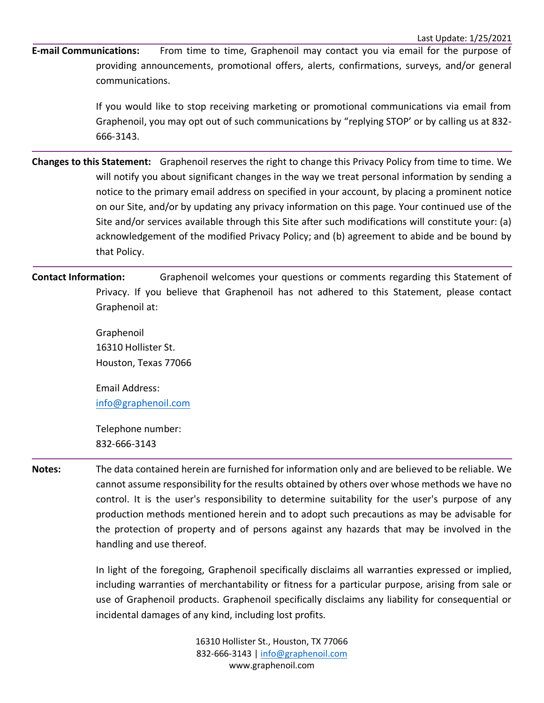**E-mail Communications:** From time to time, Graphenoil may contact you via email for the purpose of providing announcements, promotional offers, alerts, confirmations, surveys, and/or general communications.

> If you would like to stop receiving marketing or promotional communications via email from Graphenoil, you may opt out of such communications by "replying STOP' or by calling us at 832- 666-3143.

**Changes to this Statement:** Graphenoil reserves the right to change this Privacy Policy from time to time. We will notify you about significant changes in the way we treat personal information by sending a notice to the primary email address on specified in your account, by placing a prominent notice on our Site, and/or by updating any privacy information on this page. Your continued use of the Site and/or services available through this Site after such modifications will constitute your: (a) acknowledgement of the modified Privacy Policy; and (b) agreement to abide and be bound by that Policy.

**Contact Information:** Graphenoil welcomes your questions or comments regarding this Statement of Privacy. If you believe that Graphenoil has not adhered to this Statement, please contact Graphenoil at:

> Graphenoil 16310 Hollister St. Houston, Texas 77066

> Email Address: [info@graphenoil.com](mailto:info@graphenoil.com)

Telephone number: 832-666-3143

**Notes:** The data contained herein are furnished for information only and are believed to be reliable. We cannot assume responsibility for the results obtained by others over whose methods we have no control. It is the user's responsibility to determine suitability for the user's purpose of any production methods mentioned herein and to adopt such precautions as may be advisable for the protection of property and of persons against any hazards that may be involved in the handling and use thereof.

> In light of the foregoing, Graphenoil specifically disclaims all warranties expressed or implied, including warranties of merchantability or fitness for a particular purpose, arising from sale or use of Graphenoil products. Graphenoil specifically disclaims any liability for consequential or incidental damages of any kind, including lost profits.

> > 16310 Hollister St., Houston, TX 77066 832-666-3143 [| info@graphenoil.com](mailto:info@graphenoil.com) www.graphenoil.com